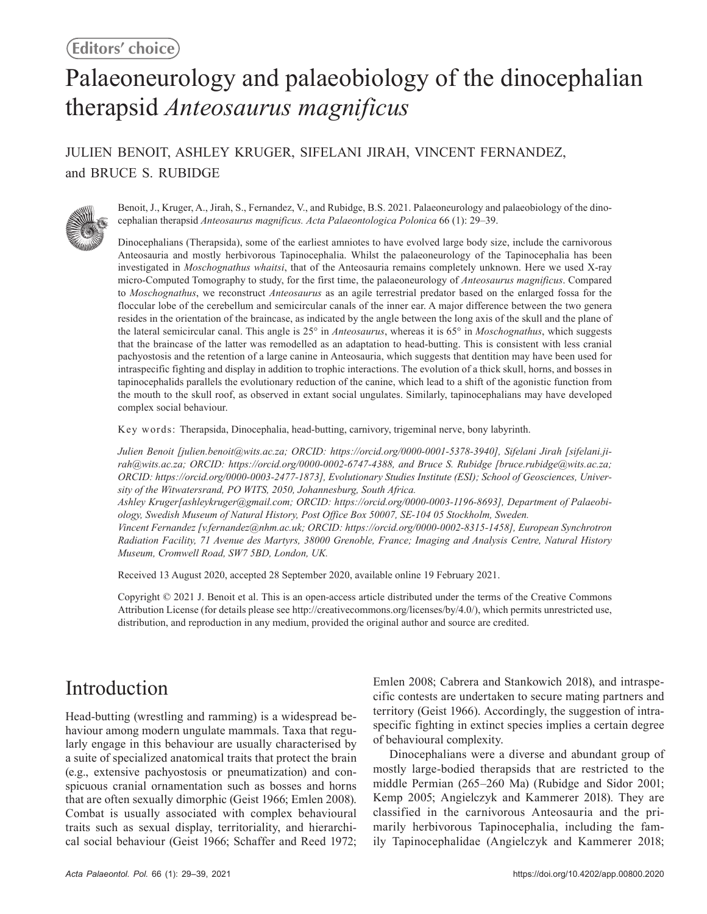# Palaeoneurology and palaeobiology of the dinocephalian therapsid *Anteosaurus magnificus*

## JULIEN BENOIT, ASHLEY KRUGER, SIFELANI JIRAH, VINCENT FERNANDEZ, and BRUCE S. RUBIDGE



Benoit, J., Kruger, A., Jirah, S., Fernandez, V., and Rubidge, B.S. 2021. Palaeoneurology and palaeobiology of the dinocephalian therapsid *Anteosaurus magnificus. Acta Palaeontologica Polonica* 66 (1): 29–39.

Dinocephalians (Therapsida), some of the earliest amniotes to have evolved large body size, include the carnivorous Anteosauria and mostly herbivorous Tapinocephalia. Whilst the palaeoneurology of the Tapinocephalia has been investigated in *Moschognathus whaitsi*, that of the Anteosauria remains completely unknown. Here we used X-ray micro-Computed Tomography to study, for the first time, the palaeoneurology of *Anteosaurus magnificus*. Compared to *Moschognathus*, we reconstruct *Anteosaurus* as an agile terrestrial predator based on the enlarged fossa for the floccular lobe of the cerebellum and semicircular canals of the inner ear. A major difference between the two genera resides in the orientation of the braincase, as indicated by the angle between the long axis of the skull and the plane of the lateral semicircular canal. This angle is 25° in *Anteosaurus*, whereas it is 65° in *Moschognathus*, which suggests that the braincase of the latter was remodelled as an adaptation to head-butting. This is consistent with less cranial pachyostosis and the retention of a large canine in Anteosauria, which suggests that dentition may have been used for intraspecific fighting and display in addition to trophic interactions. The evolution of a thick skull, horns, and bosses in tapinocephalids parallels the evolutionary reduction of the canine, which lead to a shift of the agonistic function from the mouth to the skull roof, as observed in extant social ungulates. Similarly, tapinocephalians may have developed complex social behaviour.

Key words: Therapsida, Dinocephalia, head-butting, carnivory, trigeminal nerve, bony labyrinth.

*Julien Benoit [julien.benoit@wits.ac.za; ORCID: https://orcid.org/0000-0001-5378-3940], Sifelani Jirah [sifelani.jirah@wits.ac.za; ORCID: https://orcid.org/0000-0002-6747-4388, and Bruce S. Rubidge [bruce.rubidge@wits.ac.za; ORCID: https://orcid.org/0000-0003-2477-1873], Evolutionary Studies Institute (ESI); School of Geosciences, University of the Witwatersrand, PO WITS, 2050, Johannesburg, South Africa.*

*Ashley Kruger[ashleykruger@gmail.com; ORCID: https://orcid.org/0000-0003-1196-8693], Department of Palaeobiology, Swedish Museum of Natural History, Post Office Box 50007, SE-104 05 Stockholm, Sweden.*

*Vincent Fernandez [v.fernandez@nhm.ac.uk; ORCID: https://orcid.org/0000-0002-8315-1458], European Synchrotron Radiation Facility, 71 Avenue des Martyrs, 38000 Grenoble, France; Imaging and Analysis Centre, Natural History Museum, Cromwell Road, SW7 5BD, London, UK.*

Received 13 August 2020, accepted 28 September 2020, available online 19 February 2021.

Copyright © 2021 J. Benoit et al. This is an open-access article distributed under the terms of the Creative Commons Attribution License (for details please see http://creativecommons.org/licenses/by/4.0/), which permits unrestricted use, distribution, and reproduction in any medium, provided the original author and source are credited.

# Introduction

Head-butting (wrestling and ramming) is a widespread behaviour among modern ungulate mammals. Taxa that regularly engage in this behaviour are usually characterised by a suite of specialized anatomical traits that protect the brain (e.g., extensive pachyostosis or pneumatization) and conspicuous cranial ornamentation such as bosses and horns that are often sexually dimorphic (Geist 1966; Emlen 2008). Combat is usually associated with complex behavioural traits such as sexual display, territoriality, and hierarchical social behaviour (Geist 1966; Schaffer and Reed 1972; Emlen 2008; Cabrera and Stankowich 2018), and intraspecific contests are undertaken to secure mating partners and territory (Geist 1966). Accordingly, the suggestion of intraspecific fighting in extinct species implies a certain degree of behavioural complexity.

Dinocephalians were a diverse and abundant group of mostly large-bodied therapsids that are restricted to the middle Permian (265–260 Ma) (Rubidge and Sidor 2001; Kemp 2005; Angielczyk and Kammerer 2018). They are classified in the carnivorous Anteosauria and the primarily herbivorous Tapinocephalia, including the family Tapinocephalidae (Angielczyk and Kammerer 2018;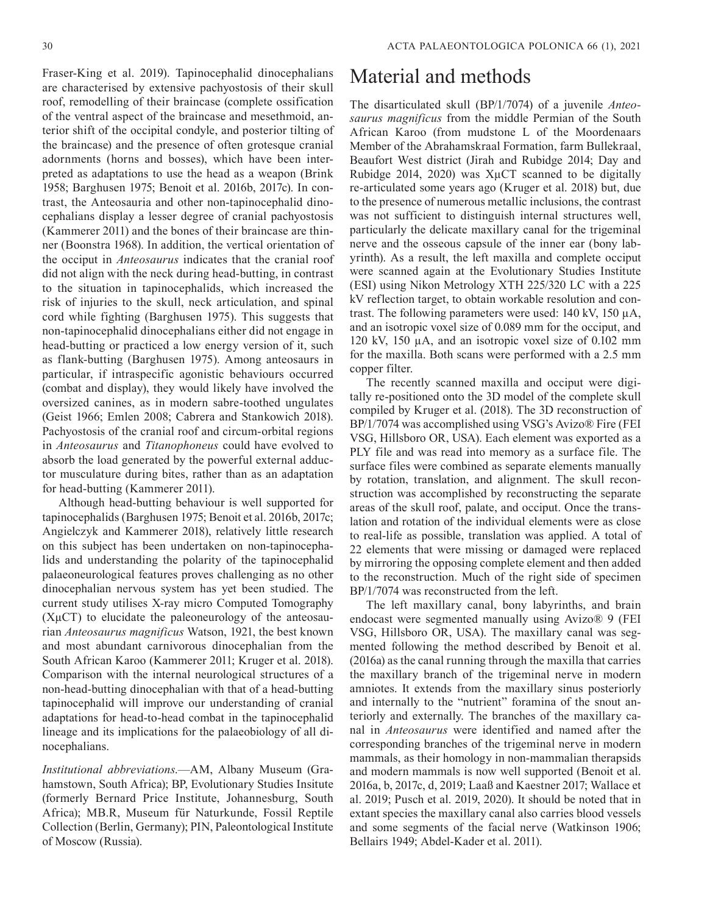30 ACTA PALAEONTOLOGICA POLONICA 66 (1), 2021

Fraser-King et al. 2019). Tapinocephalid dinocephalians are characterised by extensive pachyostosis of their skull roof, remodelling of their braincase (complete ossification of the ventral aspect of the braincase and mesethmoid, anterior shift of the occipital condyle, and posterior tilting of the braincase) and the presence of often grotesque cranial adornments (horns and bosses), which have been interpreted as adaptations to use the head as a weapon (Brink 1958; Barghusen 1975; Benoit et al. 2016b, 2017c). In contrast, the Anteosauria and other non-tapinocephalid dinocephalians display a lesser degree of cranial pachyostosis (Kammerer 2011) and the bones of their braincase are thinner (Boonstra 1968). In addition, the vertical orientation of the occiput in *Anteosaurus* indicates that the cranial roof did not align with the neck during head-butting, in contrast to the situation in tapinocephalids, which increased the risk of injuries to the skull, neck articulation, and spinal cord while fighting (Barghusen 1975). This suggests that non-tapinocephalid dinocephalians either did not engage in head-butting or practiced a low energy version of it, such as flank-butting (Barghusen 1975). Among anteosaurs in particular, if intraspecific agonistic behaviours occurred (combat and display), they would likely have involved the oversized canines, as in modern sabre-toothed ungulates (Geist 1966; Emlen 2008; Cabrera and Stankowich 2018). Pachyostosis of the cranial roof and circum-orbital regions in *Anteosaurus* and *Titanophoneus* could have evolved to absorb the load generated by the powerful external adductor musculature during bites, rather than as an adaptation for head-butting (Kammerer 2011).

Although head-butting behaviour is well supported for tapinocephalids (Barghusen 1975; Benoit et al. 2016b, 2017c; Angielczyk and Kammerer 2018), relatively little research on this subject has been undertaken on non-tapinocephalids and understanding the polarity of the tapinocephalid palaeoneurological features proves challenging as no other dinocephalian nervous system has yet been studied. The current study utilises X-ray micro Computed Tomography  $(X\mu$ CT) to elucidate the paleoneurology of the anteosaurian *Anteosaurus magnificus* Watson, 1921, the best known and most abundant carnivorous dinocephalian from the South African Karoo (Kammerer 2011; Kruger et al. 2018). Comparison with the internal neurological structures of a non-head-butting dinocephalian with that of a head-butting tapinocephalid will improve our understanding of cranial adaptations for head-to-head combat in the tapinocephalid lineage and its implications for the palaeobiology of all dinocephalians.

*Institutional abbreviations*.—AM, Albany Museum (Grahamstown, South Africa); BP, Evolutionary Studies Insitute (formerly Bernard Price Institute, Johannesburg, South Africa); MB.R, Museum für Naturkunde, Fossil Reptile Collection (Berlin, Germany); PIN, Paleontological Institute of Moscow (Russia).

# Material and methods

The disarticulated skull (BP/1/7074) of a juvenile *Anteosaurus magnificus* from the middle Permian of the South African Karoo (from mudstone L of the Moordenaars Member of the Abrahamskraal Formation, farm Bullekraal, Beaufort West district (Jirah and Rubidge 2014; Day and Rubidge 2014, 2020) was XµCT scanned to be digitally re-articulated some years ago (Kruger et al. 2018) but, due to the presence of numerous metallic inclusions, the contrast was not sufficient to distinguish internal structures well, particularly the delicate maxillary canal for the trigeminal nerve and the osseous capsule of the inner ear (bony labyrinth). As a result, the left maxilla and complete occiput were scanned again at the Evolutionary Studies Institute (ESI) using Nikon Metrology XTH 225/320 LC with a 225 kV reflection target, to obtain workable resolution and contrast. The following parameters were used: 140 kV, 150 µA, and an isotropic voxel size of 0.089 mm for the occiput, and 120 kV, 150 µA, and an isotropic voxel size of 0.102 mm for the maxilla. Both scans were performed with a 2.5 mm copper filter.

The recently scanned maxilla and occiput were digitally re-positioned onto the 3D model of the complete skull compiled by Kruger et al. (2018). The 3D reconstruction of BP/1/7074 was accomplished using VSG's Avizo® Fire (FEI VSG, Hillsboro OR, USA). Each element was exported as a PLY file and was read into memory as a surface file. The surface files were combined as separate elements manually by rotation, translation, and alignment. The skull reconstruction was accomplished by reconstructing the separate areas of the skull roof, palate, and occiput. Once the translation and rotation of the individual elements were as close to real-life as possible, translation was applied. A total of 22 elements that were missing or damaged were replaced by mirroring the opposing complete element and then added to the reconstruction. Much of the right side of specimen BP/1/7074 was reconstructed from the left.

The left maxillary canal, bony labyrinths, and brain endocast were segmented manually using Avizo® 9 (FEI VSG, Hillsboro OR, USA). The maxillary canal was segmented following the method described by Benoit et al. (2016a) as the canal running through the maxilla that carries the maxillary branch of the trigeminal nerve in modern amniotes. It extends from the maxillary sinus posteriorly and internally to the "nutrient" foramina of the snout anteriorly and externally. The branches of the maxillary canal in *Anteosaurus* were identified and named after the corresponding branches of the trigeminal nerve in modern mammals, as their homology in non-mammalian therapsids and modern mammals is now well supported (Benoit et al. 2016a, b, 2017c, d, 2019; Laaß and Kaestner 2017; Wallace et al. 2019; Pusch et al. 2019, 2020). It should be noted that in extant species the maxillary canal also carries blood vessels and some segments of the facial nerve (Watkinson 1906; Bellairs 1949; Abdel-Kader et al. 2011).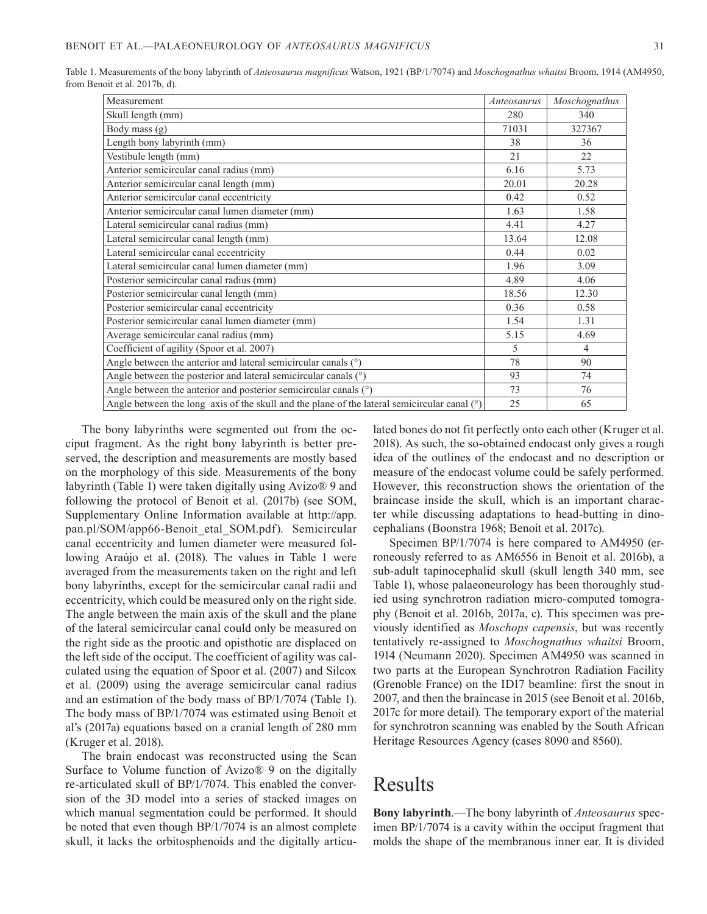| Measurement                                                                                    | Anteosaurus | Moschognathus  |
|------------------------------------------------------------------------------------------------|-------------|----------------|
| Skull length (mm)                                                                              | 280         | 340            |
| Body mass (g)                                                                                  | 71031       | 327367         |
| Length bony labyrinth (mm)                                                                     | 38          | 36             |
| Vestibule length (mm)                                                                          | 21          | 22             |
| Anterior semicircular canal radius (mm)                                                        | 6.16        | 5.73           |
| Anterior semicircular canal length (mm)                                                        | 20.01       | 20.28          |
| Anterior semicircular canal eccentricity                                                       | 0.42        | 0.52           |
| Anterior semicircular canal lumen diameter (mm)                                                | 1.63        | 1.58           |
| Lateral semicircular canal radius (mm)                                                         | 4.41        | 4.27           |
| Lateral semicircular canal length (mm)                                                         | 13.64       | 12.08          |
| Lateral semicircular canal eccentricity                                                        | 0.44        | 0.02           |
| Lateral semicircular canal lumen diameter (mm)                                                 | 1.96        | 3.09           |
| Posterior semicircular canal radius (mm)                                                       | 4.89        | 4.06           |
| Posterior semicircular canal length (mm)                                                       | 18.56       | 12.30          |
| Posterior semicircular canal eccentricity                                                      | 0.36        | 0.58           |
| Posterior semicircular canal lumen diameter (mm)                                               | 1.54        | 1.31           |
| Average semicircular canal radius (mm)                                                         | 5.15        | 4.69           |
| Coefficient of agility (Spoor et al. 2007)                                                     | 5           | $\overline{4}$ |
| Angle between the anterior and lateral semicircular canals $(°)$                               | 78          | 90             |
| Angle between the posterior and lateral semicircular canals (°)                                | 93          | 74             |
| Angle between the anterior and posterior semicircular canals (°)                               | 73          | 76             |
| Angle between the long axis of the skull and the plane of the lateral semicircular canal $(°)$ | 25          | 65             |

Table 1. Measurements of the bony labyrinth of *Anteosaurus magnificus* Watson, 1921 (BP/1/7074) and *Moschognathus whaitsi* Broom, 1914 (AM4950, from Benoit et al. 2017b, d).

The bony labyrinths were segmented out from the occiput fragment. As the right bony labyrinth is better preserved, the description and measurements are mostly based on the morphology of this side. Measurements of the bony labyrinth (Table 1) were taken digitally using Avizo® 9 and following the protocol of Benoit et al. (2017b) (see SOM, Supplementary Online Information available at http://app. pan.pl/SOM/app66-Benoit\_etal\_SOM.pdf). Semicircular canal eccentricity and lumen diameter were measured following Araújo et al. (2018). The values in Table 1 were averaged from the measurements taken on the right and left bony labyrinths, except for the semicircular canal radii and eccentricity, which could be measured only on the right side. The angle between the main axis of the skull and the plane of the lateral semicircular canal could only be measured on the right side as the prootic and opisthotic are displaced on the left side of the occiput. The coefficient of agility was calculated using the equation of Spoor et al. (2007) and Silcox et al. (2009) using the average semicircular canal radius and an estimation of the body mass of BP/1/7074 (Table 1). The body mass of BP/1/7074 was estimated using Benoit et al's (2017a) equations based on a cranial length of 280 mm (Kruger et al. 2018).

The brain endocast was reconstructed using the Scan Surface to Volume function of Avizo® 9 on the digitally re-articulated skull of BP/1/7074. This enabled the conversion of the 3D model into a series of stacked images on which manual segmentation could be performed. It should be noted that even though BP/1/7074 is an almost complete skull, it lacks the orbitosphenoids and the digitally articulated bones do not fit perfectly onto each other (Kruger et al. 2018). As such, the so-obtained endocast only gives a rough idea of the outlines of the endocast and no description or measure of the endocast volume could be safely performed. However, this reconstruction shows the orientation of the braincase inside the skull, which is an important character while discussing adaptations to head-butting in dinocephalians (Boonstra 1968; Benoit et al. 2017c).

Specimen BP/1/7074 is here compared to AM4950 (erroneously referred to as AM6556 in Benoit et al. 2016b), a sub-adult tapinocephalid skull (skull length 340 mm, see Table 1), whose palaeoneurology has been thoroughly studied using synchrotron radiation micro-computed tomography (Benoit et al. 2016b, 2017a, c). This specimen was previously identified as *Moschops capensis*, but was recently tentatively re-assigned to *Moschognathus whaitsi* Broom, 1914 (Neumann 2020). Specimen AM4950 was scanned in two parts at the European Synchrotron Radiation Facility (Grenoble France) on the ID17 beamline: first the snout in 2007, and then the braincase in 2015 (see Benoit et al. 2016b, 2017c for more detail). The temporary export of the material for synchrotron scanning was enabled by the South African Heritage Resources Agency (cases 8090 and 8560).

## Results

**Bony labyrinth**.—The bony labyrinth of *Anteosaurus* specimen BP/1/7074 is a cavity within the occiput fragment that molds the shape of the membranous inner ear. It is divided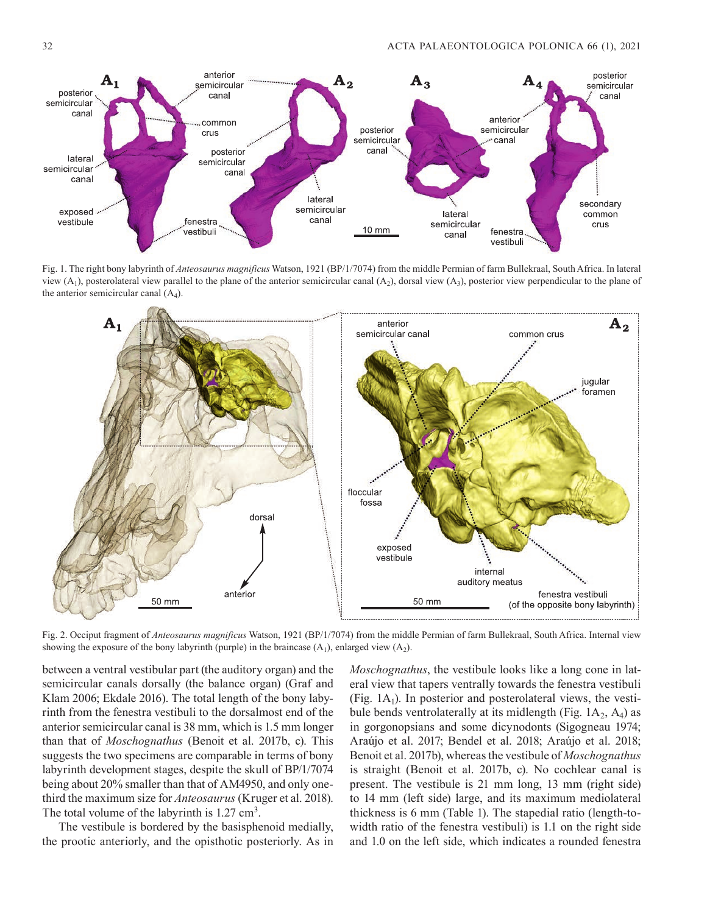

Fig. 1. The right bony labyrinth of *Anteosaurus magnificus* Watson, 1921 (BP/1/7074) from the middle Permian of farm Bullekraal, South Africa. In lateral view  $(A_1)$ , posterolateral view parallel to the plane of the anterior semicircular canal  $(A_2)$ , dorsal view  $(A_3)$ , posterior view perpendicular to the plane of the anterior semicircular canal  $(A_4)$ .



Fig. 2. Occiput fragment of *Anteosaurus magnificus* Watson, 1921 (BP/1/7074) from the middle Permian of farm Bullekraal, South Africa. Internal view showing the exposure of the bony labyrinth (purple) in the braincase  $(A_1)$ , enlarged view  $(A_2)$ .

between a ventral vestibular part (the auditory organ) and the semicircular canals dorsally (the balance organ) (Graf and Klam 2006; Ekdale 2016). The total length of the bony labyrinth from the fenestra vestibuli to the dorsalmost end of the anterior semicircular canal is 38 mm, which is 1.5 mm longer than that of *Moschognathus* (Benoit et al. 2017b, c). This suggests the two specimens are comparable in terms of bony labyrinth development stages, despite the skull of BP/1/7074 being about 20% smaller than that of AM4950, and only onethird the maximum size for *Anteosaurus* (Kruger et al. 2018). The total volume of the labyrinth is 1.27 cm<sup>3</sup>.

The vestibule is bordered by the basisphenoid medially, the prootic anteriorly, and the opisthotic posteriorly. As in *Moschognathus*, the vestibule looks like a long cone in lateral view that tapers ventrally towards the fenestra vestibuli (Fig.  $1A<sub>1</sub>$ ). In posterior and posterolateral views, the vestibule bends ventrolaterally at its midlength (Fig.  $1A_2$ ,  $A_4$ ) as in gorgonopsians and some dicynodonts (Sigogneau 1974; Araújo et al. 2017; Bendel et al. 2018; Araújo et al. 2018; Benoit et al. 2017b), whereas the vestibule of *Moschognathus* is straight (Benoit et al. 2017b, c). No cochlear canal is present. The vestibule is 21 mm long, 13 mm (right side) to 14 mm (left side) large, and its maximum mediolateral thickness is 6 mm (Table 1). The stapedial ratio (length-towidth ratio of the fenestra vestibuli) is 1.1 on the right side and 1.0 on the left side, which indicates a rounded fenestra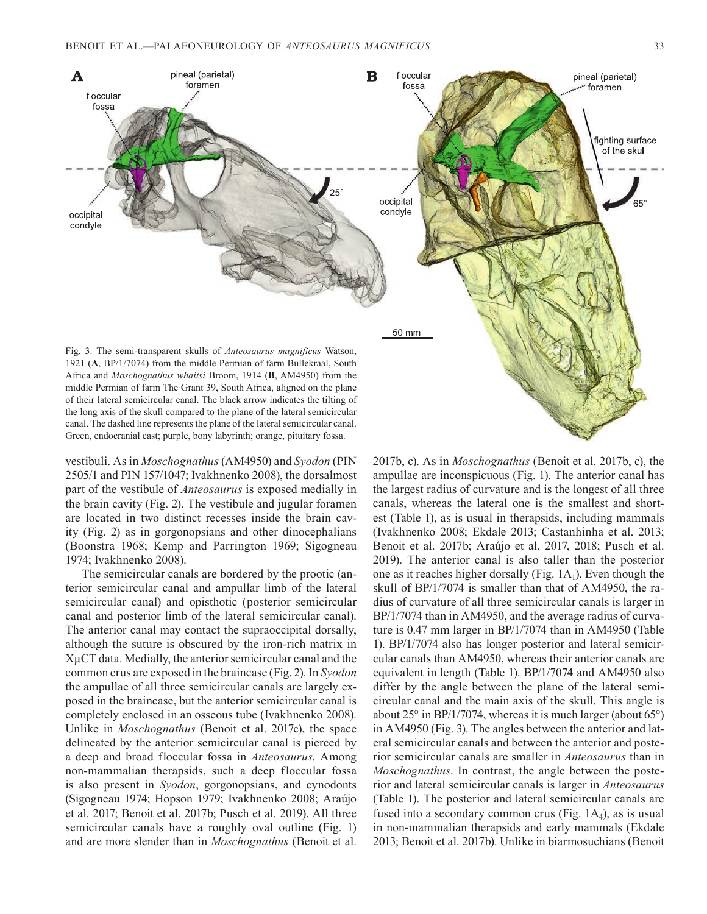

vestibuli. As in *Moschognathus* (AM4950) and *Syodon* (PIN 2505/1 and PIN 157/1047; Ivakhnenko 2008), the dorsalmost part of the vestibule of *Anteosaurus* is exposed medially in the brain cavity (Fig. 2). The vestibule and jugular foramen are located in two distinct recesses inside the brain cavity (Fig. 2) as in gorgonopsians and other dinocephalians (Boonstra 1968; Kemp and Parrington 1969; Sigogneau 1974; Ivakhnenko 2008).

Green, endocranial cast; purple, bony labyrinth; orange, pituitary fossa.

The semicircular canals are bordered by the prootic (anterior semicircular canal and ampullar limb of the lateral semicircular canal) and opisthotic (posterior semicircular canal and posterior limb of the lateral semicircular canal). The anterior canal may contact the supraoccipital dorsally, although the suture is obscured by the iron-rich matrix in XµCT data. Medially, the anterior semicircular canal and the common crus are exposed in the braincase (Fig. 2). In *Syodon* the ampullae of all three semicircular canals are largely exposed in the braincase, but the anterior semicircular canal is completely enclosed in an osseous tube (Ivakhnenko 2008). Unlike in *Moschognathus* (Benoit et al. 2017c), the space delineated by the anterior semicircular canal is pierced by a deep and broad floccular fossa in *Anteosaurus*. Among non-mammalian therapsids, such a deep floccular fossa is also present in *Syodon*, gorgonopsians, and cynodonts (Sigogneau 1974; Hopson 1979; Ivakhnenko 2008; Araújo et al. 2017; Benoit et al. 2017b; Pusch et al. 2019). All three semicircular canals have a roughly oval outline (Fig. 1) and are more slender than in *Moschognathus* (Benoit et al.

2017b, c). As in *Moschognathus* (Benoit et al. 2017b, c), the ampullae are inconspicuous (Fig. 1). The anterior canal has the largest radius of curvature and is the longest of all three canals, whereas the lateral one is the smallest and shortest (Table 1), as is usual in therapsids, including mammals (Ivakhnenko 2008; Ekdale 2013; Castanhinha et al. 2013; Benoit et al. 2017b; Araújo et al. 2017, 2018; Pusch et al. 2019). The anterior canal is also taller than the posterior one as it reaches higher dorsally (Fig.  $1A_1$ ). Even though the skull of BP/1/7074 is smaller than that of AM4950, the radius of curvature of all three semicircular canals is larger in BP/1/7074 than in AM4950, and the average radius of curvature is 0.47 mm larger in BP/1/7074 than in AM4950 (Table 1). BP/1/7074 also has longer posterior and lateral semicircular canals than AM4950, whereas their anterior canals are equivalent in length (Table 1). BP/1/7074 and AM4950 also differ by the angle between the plane of the lateral semicircular canal and the main axis of the skull. This angle is about 25° in BP/1/7074, whereas it is much larger (about 65°) in AM4950 (Fig. 3). The angles between the anterior and lateral semicircular canals and between the anterior and posterior semicircular canals are smaller in *Anteosaurus* than in *Moschognathus*. In contrast, the angle between the posterior and lateral semicircular canals is larger in *Anteosaurus*  (Table 1). The posterior and lateral semicircular canals are fused into a secondary common crus (Fig.  $1A<sub>4</sub>$ ), as is usual in non-mammalian therapsids and early mammals (Ekdale 2013; Benoit et al. 2017b). Unlike in biarmosuchians (Benoit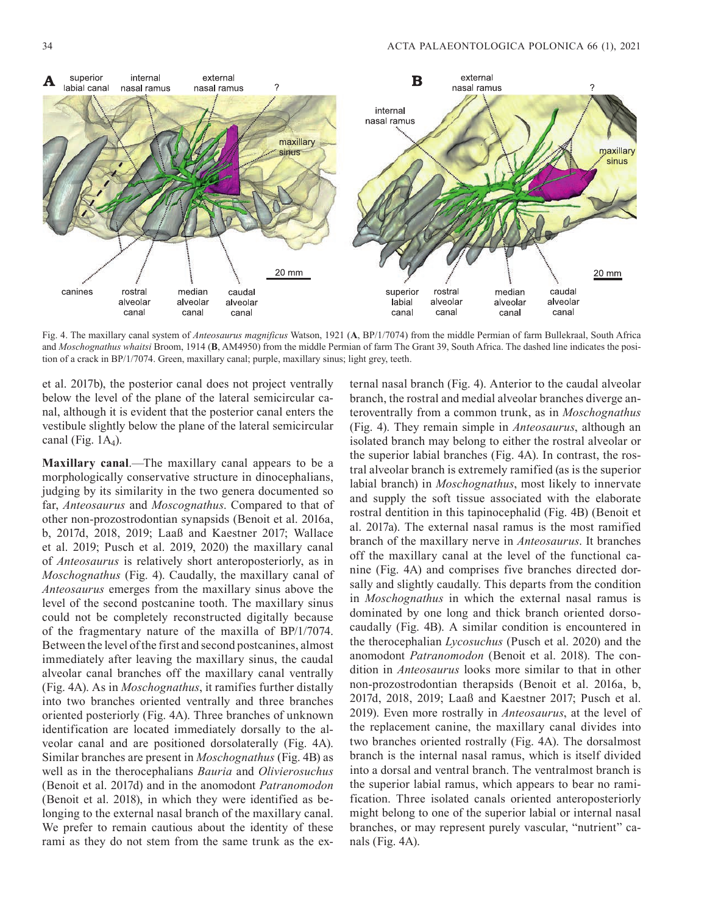

Fig. 4. The maxillary canal system of *Anteosaurus magnificus* Watson, 1921 (**A**, BP/1/7074) from the middle Permian of farm Bullekraal, South Africa and *Moschognathus whaitsi* Broom, 1914 (**B**, AM4950) from the middle Permian of farm The Grant 39, South Africa. The dashed line indicates the position of a crack in BP/1/7074. Green, maxillary canal; purple, maxillary sinus; light grey, teeth.

et al. 2017b), the posterior canal does not project ventrally below the level of the plane of the lateral semicircular canal, although it is evident that the posterior canal enters the vestibule slightly below the plane of the lateral semicircular canal (Fig.  $1A<sub>4</sub>$ ).

**Maxillary canal**.—The maxillary canal appears to be a morphologically conservative structure in dinocephalians, judging by its similarity in the two genera documented so far, *Anteosaurus* and *Moscognathus*. Compared to that of other non-prozostrodontian synapsids (Benoit et al. 2016a, b, 2017d, 2018, 2019; Laaß and Kaestner 2017; Wallace et al. 2019; Pusch et al. 2019, 2020) the maxillary canal of *Anteosaurus* is relatively short anteroposteriorly, as in *Moschognathus* (Fig. 4). Caudally, the maxillary canal of *Anteosaurus* emerges from the maxillary sinus above the level of the second postcanine tooth. The maxillary sinus could not be completely reconstructed digitally because of the fragmentary nature of the maxilla of BP/1/7074. Between the level of the first and second postcanines, almost immediately after leaving the maxillary sinus, the caudal alveolar canal branches off the maxillary canal ventrally (Fig. 4A). As in *Moschognathus*, it ramifies further distally into two branches oriented ventrally and three branches oriented posteriorly (Fig. 4A). Three branches of unknown identification are located immediately dorsally to the alveolar canal and are positioned dorsolaterally (Fig. 4A). Similar branches are present in *Moschognathus* (Fig. 4B) as well as in the therocephalians *Bauria* and *Olivierosuchus* (Benoit et al. 2017d) and in the anomodont *Patranomodon* (Benoit et al. 2018), in which they were identified as belonging to the external nasal branch of the maxillary canal. We prefer to remain cautious about the identity of these rami as they do not stem from the same trunk as the ex-

ternal nasal branch (Fig. 4). Anterior to the caudal alveolar branch, the rostral and medial alveolar branches diverge anteroventrally from a common trunk, as in *Moschognathus* (Fig. 4). They remain simple in *Anteosaurus*, although an isolated branch may belong to either the rostral alveolar or the superior labial branches (Fig. 4A). In contrast, the rostral alveolar branch is extremely ramified (as is the superior labial branch) in *Moschognathus*, most likely to innervate and supply the soft tissue associated with the elaborate rostral dentition in this tapinocephalid (Fig. 4B) (Benoit et al. 2017a). The external nasal ramus is the most ramified branch of the maxillary nerve in *Anteosaurus*. It branches off the maxillary canal at the level of the functional canine (Fig. 4A) and comprises five branches directed dorsally and slightly caudally. This departs from the condition in *Moschognathus* in which the external nasal ramus is dominated by one long and thick branch oriented dorsocaudally (Fig. 4B). A similar condition is encountered in the therocephalian *Lycosuchus* (Pusch et al. 2020) and the anomodont *Patranomodon* (Benoit et al. 2018). The condition in *Anteosaurus* looks more similar to that in other non-prozostrodontian therapsids (Benoit et al. 2016a, b, 2017d, 2018, 2019; Laaß and Kaestner 2017; Pusch et al. 2019). Even more rostrally in *Anteosaurus*, at the level of the replacement canine, the maxillary canal divides into two branches oriented rostrally (Fig. 4A). The dorsalmost branch is the internal nasal ramus, which is itself divided into a dorsal and ventral branch. The ventralmost branch is the superior labial ramus, which appears to bear no ramification. Three isolated canals oriented anteroposteriorly might belong to one of the superior labial or internal nasal branches, or may represent purely vascular, "nutrient" canals (Fig. 4A).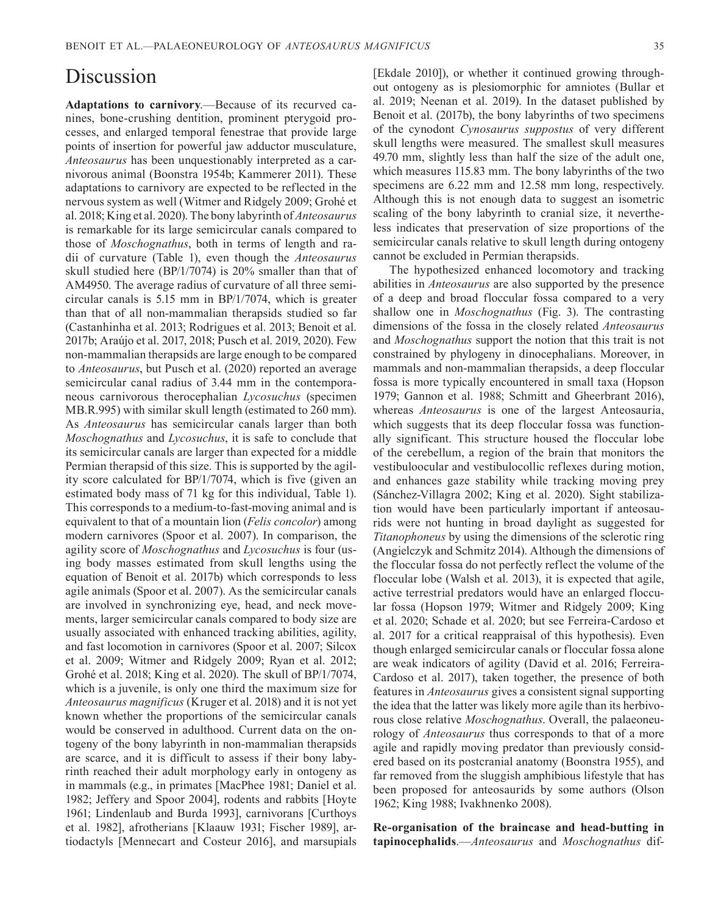### Discussion

**Adaptations to carnivory**.—Because of its recurved canines, bone-crushing dentition, prominent pterygoid processes, and enlarged temporal fenestrae that provide large points of insertion for powerful jaw adductor musculature, *Anteosaurus* has been unquestionably interpreted as a carnivorous animal (Boonstra 1954b; Kammerer 2011). These adaptations to carnivory are expected to be reflected in the nervous system as well (Witmer and Ridgely 2009; Grohé et al. 2018; King et al. 2020). The bony labyrinth of *Anteosaurus* is remarkable for its large semicircular canals compared to those of *Moschognathus*, both in terms of length and radii of curvature (Table 1), even though the *Anteosaurus*  skull studied here (BP/1/7074) is 20% smaller than that of AM4950. The average radius of curvature of all three semicircular canals is 5.15 mm in BP/1/7074, which is greater than that of all non-mammalian therapsids studied so far (Castanhinha et al. 2013; Rodrigues et al. 2013; Benoit et al. 2017b; Araújo et al. 2017, 2018; Pusch et al. 2019, 2020). Few non-mammalian therapsids are large enough to be compared to *Anteosaurus*, but Pusch et al. (2020) reported an average semicircular canal radius of 3.44 mm in the contemporaneous carnivorous therocephalian *Lycosuchus* (specimen MB.R.995) with similar skull length (estimated to 260 mm). As *Anteosaurus* has semicircular canals larger than both *Moschognathus* and *Lycosuchus*, it is safe to conclude that its semicircular canals are larger than expected for a middle Permian therapsid of this size. This is supported by the agility score calculated for BP/1/7074, which is five (given an estimated body mass of 71 kg for this individual, Table 1). This corresponds to a medium-to-fast-moving animal and is equivalent to that of a mountain lion (*Felis concolor*) among modern carnivores (Spoor et al. 2007). In comparison, the agility score of *Moschognathus* and *Lycosuchus* is four (using body masses estimated from skull lengths using the equation of Benoit et al. 2017b) which corresponds to less agile animals (Spoor et al. 2007). As the semicircular canals are involved in synchronizing eye, head, and neck movements, larger semicircular canals compared to body size are usually associated with enhanced tracking abilities, agility, and fast locomotion in carnivores (Spoor et al. 2007; Silcox et al. 2009; Witmer and Ridgely 2009; Ryan et al. 2012; Grohé et al. 2018; King et al. 2020). The skull of BP/1/7074, which is a juvenile, is only one third the maximum size for *Anteosaurus magnificus* (Kruger et al. 2018) and it is not yet known whether the proportions of the semicircular canals would be conserved in adulthood. Current data on the ontogeny of the bony labyrinth in non-mammalian therapsids are scarce, and it is difficult to assess if their bony labyrinth reached their adult morphology early in ontogeny as in mammals (e.g., in primates [MacPhee 1981; Daniel et al. 1982; Jeffery and Spoor 2004], rodents and rabbits [Hoyte 1961; Lindenlaub and Burda 1993], carnivorans [Curthoys et al. 1982], afrotherians [Klaauw 1931; Fischer 1989], artiodactyls [Mennecart and Costeur 2016], and marsupials

[Ekdale 2010]), or whether it continued growing throughout ontogeny as is plesiomorphic for amniotes (Bullar et al. 2019; Neenan et al. 2019). In the dataset published by Benoit et al. (2017b), the bony labyrinths of two specimens of the cynodont *Cynosaurus suppostus* of very different skull lengths were measured. The smallest skull measures 49.70 mm, slightly less than half the size of the adult one, which measures 115.83 mm. The bony labyrinths of the two specimens are 6.22 mm and 12.58 mm long, respectively. Although this is not enough data to suggest an isometric scaling of the bony labyrinth to cranial size, it nevertheless indicates that preservation of size proportions of the semicircular canals relative to skull length during ontogeny cannot be excluded in Permian therapsids.

The hypothesized enhanced locomotory and tracking abilities in *Anteosaurus* are also supported by the presence of a deep and broad floccular fossa compared to a very shallow one in *Moschognathus* (Fig. 3). The contrasting dimensions of the fossa in the closely related *Anteosaurus* and *Moschognathus* support the notion that this trait is not constrained by phylogeny in dinocephalians. Moreover, in mammals and non-mammalian therapsids, a deep floccular fossa is more typically encountered in small taxa (Hopson 1979; Gannon et al. 1988; Schmitt and Gheerbrant 2016), whereas *Anteosaurus* is one of the largest Anteosauria, which suggests that its deep floccular fossa was functionally significant. This structure housed the floccular lobe of the cerebellum, a region of the brain that monitors the vestibuloocular and vestibulocollic reflexes during motion, and enhances gaze stability while tracking moving prey (Sánchez-Villagra 2002; King et al. 2020). Sight stabilization would have been particularly important if anteosaurids were not hunting in broad daylight as suggested for *Titanophoneus* by using the dimensions of the sclerotic ring (Angielczyk and Schmitz 2014). Although the dimensions of the floccular fossa do not perfectly reflect the volume of the floccular lobe (Walsh et al. 2013), it is expected that agile, active terrestrial predators would have an enlarged floccular fossa (Hopson 1979; Witmer and Ridgely 2009; King et al. 2020; Schade et al. 2020; but see Ferreira-Cardoso et al. 2017 for a critical reappraisal of this hypothesis). Even though enlarged semicircular canals or floccular fossa alone are weak indicators of agility (David et al. 2016; Ferreira-Cardoso et al. 2017), taken together, the presence of both features in *Anteosaurus* gives a consistent signal supporting the idea that the latter was likely more agile than its herbivorous close relative *Moschognathus*. Overall, the palaeoneurology of *Anteosaurus* thus corresponds to that of a more agile and rapidly moving predator than previously considered based on its postcranial anatomy (Boonstra 1955), and far removed from the sluggish amphibious lifestyle that has been proposed for anteosaurids by some authors (Olson 1962; King 1988; Ivakhnenko 2008).

**Re-organisation of the braincase and head-butting in tapinocephalids**.—*Anteosaurus* and *Moschognathus* dif-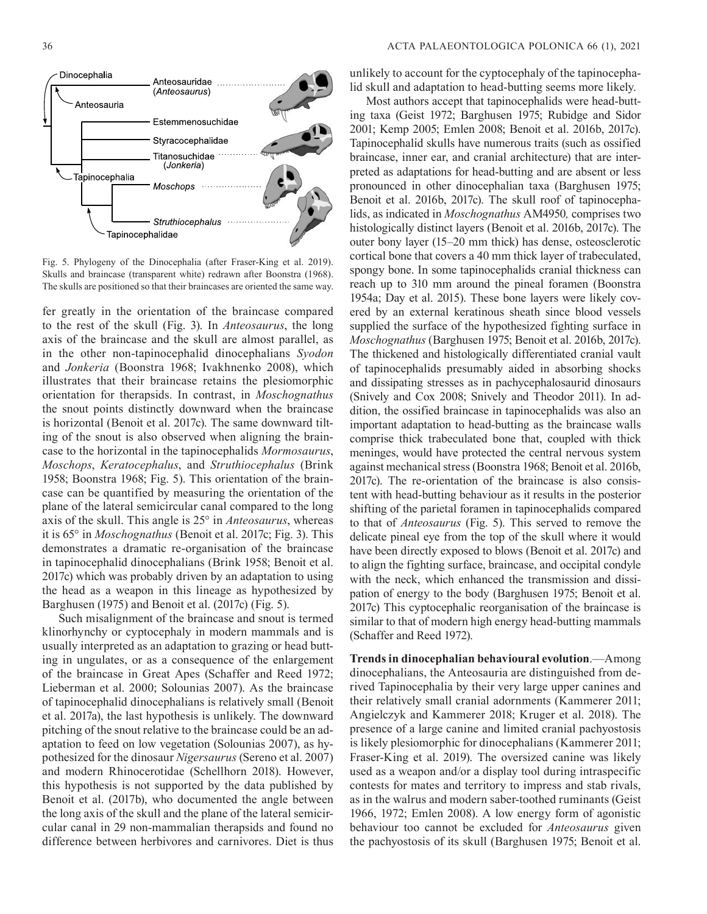

Fig. 5. Phylogeny of the Dinocephalia (after Fraser-King et al. 2019). Skulls and braincase (transparent white) redrawn after Boonstra (1968). The skulls are positioned so that their braincases are oriented the same way.

fer greatly in the orientation of the braincase compared to the rest of the skull (Fig. 3). In *Anteosaurus*, the long axis of the braincase and the skull are almost parallel, as in the other non-tapinocephalid dinocephalians *Syodon* and *Jonkeria* (Boonstra 1968; Ivakhnenko 2008), which illustrates that their braincase retains the plesiomorphic orientation for therapsids. In contrast, in *Moschognathus* the snout points distinctly downward when the braincase is horizontal (Benoit et al. 2017c). The same downward tilting of the snout is also observed when aligning the braincase to the horizontal in the tapinocephalids *Mormosaurus*, *Moschops*, *Keratocephalus*, and *Struthiocephalus* (Brink 1958; Boonstra 1968; Fig. 5). This orientation of the braincase can be quantified by measuring the orientation of the plane of the lateral semicircular canal compared to the long axis of the skull. This angle is 25° in *Anteosaurus*, whereas it is 65° in *Moschognathus* (Benoit et al. 2017c; Fig. 3). This demonstrates a dramatic re-organisation of the braincase in tapinocephalid dinocephalians (Brink 1958; Benoit et al. 2017c) which was probably driven by an adaptation to using the head as a weapon in this lineage as hypothesized by Barghusen (1975) and Benoit et al. (2017c) (Fig. 5).

Such misalignment of the braincase and snout is termed klinorhynchy or cyptocephaly in modern mammals and is usually interpreted as an adaptation to grazing or head butting in ungulates, or as a consequence of the enlargement of the braincase in Great Apes (Schaffer and Reed 1972; Lieberman et al. 2000; Solounias 2007). As the braincase of tapinocephalid dinocephalians is relatively small (Benoit et al. 2017a), the last hypothesis is unlikely. The downward pitching of the snout relative to the braincase could be an adaptation to feed on low vegetation (Solounias 2007), as hypothesized for the dinosaur *Nigersaurus* (Sereno et al. 2007) and modern Rhinocerotidae (Schellhorn 2018). However, this hypothesis is not supported by the data published by Benoit et al. (2017b), who documented the angle between the long axis of the skull and the plane of the lateral semicircular canal in 29 non-mammalian therapsids and found no difference between herbivores and carnivores. Diet is thus

unlikely to account for the cyptocephaly of the tapinocephalid skull and adaptation to head-butting seems more likely.

Most authors accept that tapinocephalids were head-butting taxa (Geist 1972; Barghusen 1975; Rubidge and Sidor 2001; Kemp 2005; Emlen 2008; Benoit et al. 2016b, 2017c). Tapinocephalid skulls have numerous traits (such as ossified braincase, inner ear, and cranial architecture) that are interpreted as adaptations for head-butting and are absent or less pronounced in other dinocephalian taxa (Barghusen 1975; Benoit et al. 2016b, 2017c). The skull roof of tapinocephalids, as indicated in *Moschognathus* AM4950*,* comprises two histologically distinct layers (Benoit et al. 2016b, 2017c). The outer bony layer (15–20 mm thick) has dense, osteosclerotic cortical bone that covers a 40 mm thick layer of trabeculated, spongy bone. In some tapinocephalids cranial thickness can reach up to 310 mm around the pineal foramen (Boonstra 1954a; Day et al. 2015). These bone layers were likely covered by an external keratinous sheath since blood vessels supplied the surface of the hypothesized fighting surface in *Moschognathus* (Barghusen 1975; Benoit et al. 2016b, 2017c). The thickened and histologically differentiated cranial vault of tapinocephalids presumably aided in absorbing shocks and dissipating stresses as in pachycephalosaurid dinosaurs (Snively and Cox 2008; Snively and Theodor 2011). In addition, the ossified braincase in tapinocephalids was also an important adaptation to head-butting as the braincase walls comprise thick trabeculated bone that, coupled with thick meninges, would have protected the central nervous system against mechanical stress (Boonstra 1968; Benoit et al. 2016b, 2017c). The re-orientation of the braincase is also consistent with head-butting behaviour as it results in the posterior shifting of the parietal foramen in tapinocephalids compared to that of *Anteosaurus* (Fig. 5). This served to remove the delicate pineal eye from the top of the skull where it would have been directly exposed to blows (Benoit et al. 2017c) and to align the fighting surface, braincase, and occipital condyle with the neck, which enhanced the transmission and dissipation of energy to the body (Barghusen 1975; Benoit et al. 2017c) This cyptocephalic reorganisation of the braincase is similar to that of modern high energy head-butting mammals (Schaffer and Reed 1972).

**Trends in dinocephalian behavioural evolution**.—Among dinocephalians, the Anteosauria are distinguished from derived Tapinocephalia by their very large upper canines and their relatively small cranial adornments (Kammerer 2011; Angielczyk and Kammerer 2018; Kruger et al. 2018). The presence of a large canine and limited cranial pachyostosis is likely plesiomorphic for dinocephalians (Kammerer 2011; Fraser-King et al. 2019). The oversized canine was likely used as a weapon and/or a display tool during intraspecific contests for mates and territory to impress and stab rivals, as in the walrus and modern saber-toothed ruminants (Geist 1966, 1972; Emlen 2008). A low energy form of agonistic behaviour too cannot be excluded for *Anteosaurus* given the pachyostosis of its skull (Barghusen 1975; Benoit et al.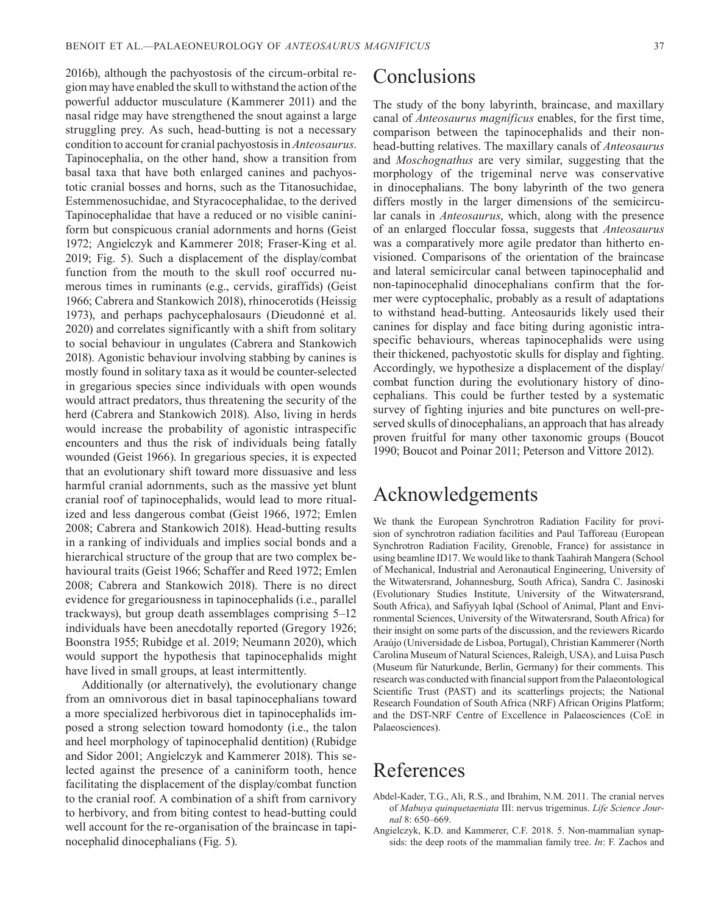2016b), although the pachyostosis of the circum-orbital region may have enabled the skull to withstand the action of the powerful adductor musculature (Kammerer 2011) and the nasal ridge may have strengthened the snout against a large struggling prey. As such, head-butting is not a necessary condition to account for cranial pachyostosis in *Anteosaurus*. Tapinocephalia, on the other hand, show a transition from basal taxa that have both enlarged canines and pachyostotic cranial bosses and horns, such as the Titanosuchidae, Estemmenosuchidae, and Styracocephalidae, to the derived Tapinocephalidae that have a reduced or no visible caniniform but conspicuous cranial adornments and horns (Geist 1972; Angielczyk and Kammerer 2018; Fraser-King et al. 2019; Fig. 5). Such a displacement of the display/combat function from the mouth to the skull roof occurred numerous times in ruminants (e.g., cervids, giraffids) (Geist 1966; Cabrera and Stankowich 2018), rhinocerotids (Heissig 1973), and perhaps pachycephalosaurs (Dieudonné et al. 2020) and correlates significantly with a shift from solitary to social behaviour in ungulates (Cabrera and Stankowich 2018). Agonistic behaviour involving stabbing by canines is mostly found in solitary taxa as it would be counter-selected in gregarious species since individuals with open wounds would attract predators, thus threatening the security of the herd (Cabrera and Stankowich 2018). Also, living in herds would increase the probability of agonistic intraspecific encounters and thus the risk of individuals being fatally wounded (Geist 1966). In gregarious species, it is expected that an evolutionary shift toward more dissuasive and less harmful cranial adornments, such as the massive yet blunt cranial roof of tapinocephalids, would lead to more ritualized and less dangerous combat (Geist 1966, 1972; Emlen 2008; Cabrera and Stankowich 2018). Head-butting results in a ranking of individuals and implies social bonds and a hierarchical structure of the group that are two complex behavioural traits (Geist 1966; Schaffer and Reed 1972; Emlen 2008; Cabrera and Stankowich 2018). There is no direct evidence for gregariousness in tapinocephalids (i.e., parallel trackways), but group death assemblages comprising 5–12 individuals have been anecdotally reported (Gregory 1926; Boonstra 1955; Rubidge et al. 2019; Neumann 2020), which would support the hypothesis that tapinocephalids might have lived in small groups, at least intermittently.

Additionally (or alternatively), the evolutionary change from an omnivorous diet in basal tapinocephalians toward a more specialized herbivorous diet in tapinocephalids imposed a strong selection toward homodonty (i.e., the talon and heel morphology of tapinocephalid dentition) (Rubidge and Sidor 2001; Angielczyk and Kammerer 2018). This selected against the presence of a caniniform tooth, hence facilitating the displacement of the display/combat function to the cranial roof. A combination of a shift from carnivory to herbivory, and from biting contest to head-butting could well account for the re-organisation of the braincase in tapinocephalid dinocephalians (Fig. 5).

## Conclusions

The study of the bony labyrinth, braincase, and maxillary canal of *Anteosaurus magnificus* enables, for the first time, comparison between the tapinocephalids and their nonhead-butting relatives. The maxillary canals of *Anteosaurus* and *Moschognathus* are very similar, suggesting that the morphology of the trigeminal nerve was conservative in dinocephalians. The bony labyrinth of the two genera differs mostly in the larger dimensions of the semicircular canals in *Anteosaurus*, which, along with the presence of an enlarged floccular fossa, suggests that *Anteosaurus* was a comparatively more agile predator than hitherto envisioned. Comparisons of the orientation of the braincase and lateral semicircular canal between tapinocephalid and non-tapinocephalid dinocephalians confirm that the former were cyptocephalic, probably as a result of adaptations to withstand head-butting. Anteosaurids likely used their canines for display and face biting during agonistic intraspecific behaviours, whereas tapinocephalids were using their thickened, pachyostotic skulls for display and fighting. Accordingly, we hypothesize a displacement of the display/ combat function during the evolutionary history of dinocephalians. This could be further tested by a systematic survey of fighting injuries and bite punctures on well-preserved skulls of dinocephalians, an approach that has already proven fruitful for many other taxonomic groups (Boucot 1990; Boucot and Poinar 2011; Peterson and Vittore 2012).

## Acknowledgements

We thank the European Synchrotron Radiation Facility for provision of synchrotron radiation facilities and Paul Tafforeau (European Synchrotron Radiation Facility, Grenoble, France) for assistance in using beamline ID17. We would like to thank Taahirah Mangera (School of Mechanical, Industrial and Aeronautical Engineering, University of the Witwatersrand, Johannesburg, South Africa), Sandra C. Jasinoski (Evolutionary Studies Institute, University of the Witwatersrand, South Africa), and Safiyyah Iqbal (School of Animal, Plant and Environmental Sciences, University of the Witwatersrand, South Africa) for their insight on some parts of the discussion, and the reviewers Ricardo Araújo (Universidade de Lisboa, Portugal), Christian Kammerer (North Carolina Museum of Natural Sciences, Raleigh, USA), and Luisa Pusch (Museum für Naturkunde, Berlin, Germany) for their comments. This research was conducted with financial support from the Palaeontological Scientific Trust (PAST) and its scatterlings projects; the National Research Foundation of South Africa (NRF) African Origins Platform; and the DST-NRF Centre of Excellence in Palaeosciences (CoE in Palaeosciences).

### References

- Abdel-Kader, T.G., Ali, R.S., and Ibrahim, N.M. 2011. The cranial nerves of *Mabuya quinquetaeniata* III: nervus trigeminus. *Life Science Journal* 8: 650–669.
- Angielczyk, K.D. and Kammerer, C.F. 2018. 5. Non-mammalian synapsids: the deep roots of the mammalian family tree. *In*: F. Zachos and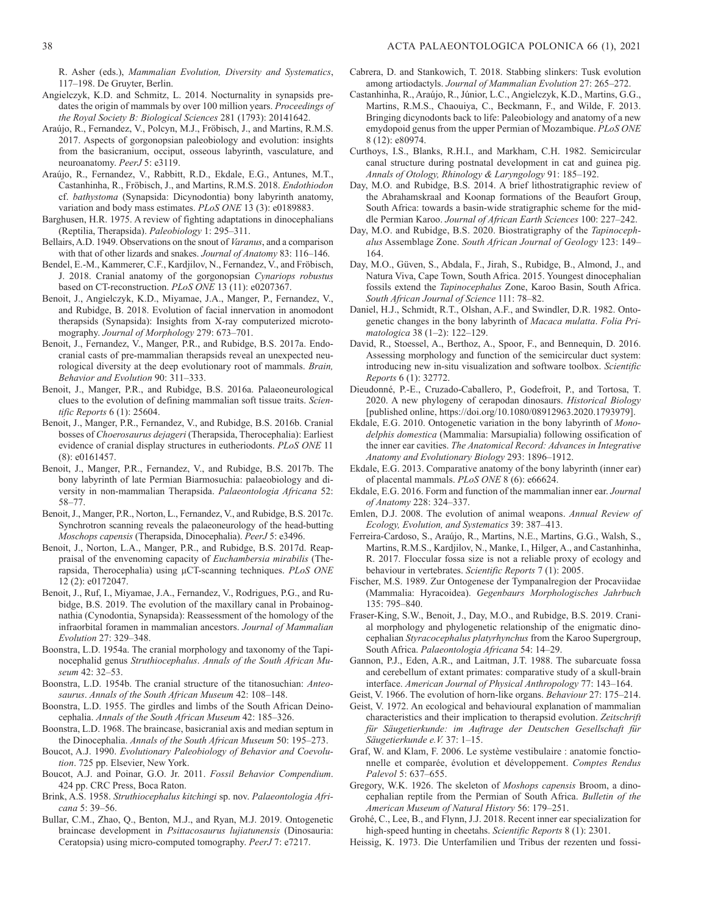R. Asher (eds.), *Mammalian Evolution, Diversity and Systematics*, 117–198. De Gruyter, Berlin.

- Angielczyk, K.D. and Schmitz, L. 2014. Nocturnality in synapsids predates the origin of mammals by over 100 million years. *Proceedings of the Royal Society B: Biological Sciences* 281 (1793): 20141642.
- Araújo, R., Fernandez, V., Polcyn, M.J., Fröbisch, J., and Martins, R.M.S. 2017. Aspects of gorgonopsian paleobiology and evolution: insights from the basicranium, occiput, osseous labyrinth, vasculature, and neuroanatomy. *PeerJ* 5: e3119.
- Araújo, R., Fernandez, V., Rabbitt, R.D., Ekdale, E.G., Antunes, M.T., Castanhinha, R., Fröbisch, J., and Martins, R.M.S. 2018. *Endothiodon*  cf. *bathystoma* (Synapsida: Dicynodontia) bony labyrinth anatomy, variation and body mass estimates. *PLoS ONE* 13 (3): e0189883.
- Barghusen, H.R. 1975. A review of fighting adaptations in dinocephalians (Reptilia, Therapsida). *Paleobiology* 1: 295–311.
- Bellairs, A.D. 1949. Observations on the snout of *Varanus*, and a comparison with that of other lizards and snakes. *Journal of Anatomy* 83: 116–146.
- Bendel, E.-M., Kammerer, C.F., Kardjilov, N., Fernandez, V., and Fröbisch, J. 2018. Cranial anatomy of the gorgonopsian *Cynariops robustus* based on CT-reconstruction. *PLoS ONE* 13 (11): e0207367.
- Benoit, J., Angielczyk, K.D., Miyamae, J.A., Manger, P., Fernandez, V., and Rubidge, B. 2018. Evolution of facial innervation in anomodont therapsids (Synapsida): Insights from X-ray computerized microtomography. *Journal of Morphology* 279: 673–701.
- Benoit, J., Fernandez, V., Manger, P.R., and Rubidge, B.S. 2017a. Endocranial casts of pre-mammalian therapsids reveal an unexpected neurological diversity at the deep evolutionary root of mammals. *Brain, Behavior and Evolution* 90: 311–333.
- Benoit, J., Manger, P.R., and Rubidge, B.S. 2016a. Palaeoneurological clues to the evolution of defining mammalian soft tissue traits. *Scientific Reports* 6 (1): 25604.
- Benoit, J., Manger, P.R., Fernandez, V., and Rubidge, B.S. 2016b. Cranial bosses of *Choerosaurus dejageri* (Therapsida, Therocephalia): Earliest evidence of cranial display structures in eutheriodonts. *PLoS ONE* 11 (8): e0161457.
- Benoit, J., Manger, P.R., Fernandez, V., and Rubidge, B.S. 2017b. The bony labyrinth of late Permian Biarmosuchia: palaeobiology and diversity in non-mammalian Therapsida. *Palaeontologia Africana* 52: 58–77.
- Benoit, J., Manger, P.R., Norton, L., Fernandez, V., and Rubidge, B.S. 2017c. Synchrotron scanning reveals the palaeoneurology of the head-butting *Moschops capensis* (Therapsida, Dinocephalia). *PeerJ* 5: e3496.
- Benoit, J., Norton, L.A., Manger, P.R., and Rubidge, B.S. 2017d. Reappraisal of the envenoming capacity of *Euchambersia mirabilis* (Therapsida, Therocephalia) using μCT-scanning techniques. *PLoS ONE* 12 (2): e0172047.
- Benoit, J., Ruf, I., Miyamae, J.A., Fernandez, V., Rodrigues, P.G., and Rubidge, B.S. 2019. The evolution of the maxillary canal in Probainognathia (Cynodontia, Synapsida): Reassessment of the homology of the infraorbital foramen in mammalian ancestors. *Journal of Mammalian Evolution* 27: 329–348.
- Boonstra, L.D. 1954a. The cranial morphology and taxonomy of the Tapinocephalid genus *Struthiocephalus*. *Annals of the South African Museum* 42: 32–53.
- Boonstra, L.D. 1954b. The cranial structure of the titanosuchian: *Anteosaurus*. *Annals of the South African Museum* 42: 108–148.
- Boonstra, L.D. 1955. The girdles and limbs of the South African Deinocephalia. *Annals of the South African Museum* 42: 185–326.
- Boonstra, L.D. 1968. The braincase, basicranial axis and median septum in the Dinocephalia. *Annals of the South African Museum* 50: 195–273.
- Boucot, A.J. 1990. *Evolutionary Paleobiology of Behavior and Coevolution*. 725 pp. Elsevier, New York.
- Boucot, A.J. and Poinar, G.O. Jr. 2011. *Fossil Behavior Compendium*. 424 pp. CRC Press, Boca Raton.
- Brink, A.S. 1958. *Struthiocephalus kitchingi* sp. nov. *Palaeontologia Africana* 5: 39–56.
- Bullar, C.M., Zhao, Q., Benton, M.J., and Ryan, M.J. 2019. Ontogenetic braincase development in *Psittacosaurus lujiatunensis* (Dinosauria: Ceratopsia) using micro-computed tomography. *PeerJ* 7: e7217.
- Cabrera, D. and Stankowich, T. 2018. Stabbing slinkers: Tusk evolution among artiodactyls. *Journal of Mammalian Evolution* 27: 265–272.
- Castanhinha, R., Araújo, R., Júnior, L.C., Angielczyk, K.D., Martins, G.G., Martins, R.M.S., Chaouiya, C., Beckmann, F., and Wilde, F. 2013. Bringing dicynodonts back to life: Paleobiology and anatomy of a new emydopoid genus from the upper Permian of Mozambique. *PLoS ONE* 8 (12): e80974.
- Curthoys, I.S., Blanks, R.H.I., and Markham, C.H. 1982. Semicircular canal structure during postnatal development in cat and guinea pig. *Annals of Otology, Rhinology & Laryngology* 91: 185–192.
- Day, M.O. and Rubidge, B.S. 2014. A brief lithostratigraphic review of the Abrahamskraal and Koonap formations of the Beaufort Group, South Africa: towards a basin-wide stratigraphic scheme for the middle Permian Karoo. *Journal of African Earth Sciences* 100: 227–242.
- Day, M.O. and Rubidge, B.S. 2020. Biostratigraphy of the *Tapinocephalus* Assemblage Zone. *South African Journal of Geology* 123: 149– 164.
- Day, M.O., Güven, S., Abdala, F., Jirah, S., Rubidge, B., Almond, J., and Natura Viva, Cape Town, South Africa. 2015. Youngest dinocephalian fossils extend the *Tapinocephalus* Zone, Karoo Basin, South Africa. *South African Journal of Science* 111: 78–82.
- Daniel, H.J., Schmidt, R.T., Olshan, A.F., and Swindler, D.R. 1982. Ontogenetic changes in the bony labyrinth of *Macaca mulatta*. *Folia Primatologica* 38 (1–2): 122–129.
- David, R., Stoessel, A., Berthoz, A., Spoor, F., and Bennequin, D. 2016. Assessing morphology and function of the semicircular duct system: introducing new in-situ visualization and software toolbox. *Scientific Reports* 6 (1): 32772.
- Dieudonné, P.-E., Cruzado-Caballero, P., Godefroit, P., and Tortosa, T. 2020. A new phylogeny of cerapodan dinosaurs. *Historical Biology* [published online, https://doi.org/10.1080/08912963.2020.1793979].
- Ekdale, E.G. 2010. Ontogenetic variation in the bony labyrinth of *Monodelphis domestica* (Mammalia: Marsupialia) following ossification of the inner ear cavities. *The Anatomical Record: Advances in Integrative Anatomy and Evolutionary Biology* 293: 1896–1912.
- Ekdale, E.G. 2013. Comparative anatomy of the bony labyrinth (inner ear) of placental mammals. *PLoS ONE* 8 (6): e66624.
- Ekdale, E.G. 2016. Form and function of the mammalian inner ear. *Journal of Anatomy* 228: 324–337.
- Emlen, D.J. 2008. The evolution of animal weapons. *Annual Review of Ecology, Evolution, and Systematics* 39: 387–413.
- Ferreira-Cardoso, S., Araújo, R., Martins, N.E., Martins, G.G., Walsh, S., Martins, R.M.S., Kardjilov, N., Manke, I., Hilger, A., and Castanhinha, R. 2017. Floccular fossa size is not a reliable proxy of ecology and behaviour in vertebrates. *Scientific Reports* 7 (1): 2005.
- Fischer, M.S. 1989. Zur Ontogenese der Tympanalregion der Procaviidae (Mammalia: Hyracoidea). *Gegenbaurs Morphologisches Jahrbuch* 135: 795–840.
- Fraser-King, S.W., Benoit, J., Day, M.O., and Rubidge, B.S. 2019. Cranial morphology and phylogenetic relationship of the enigmatic dinocephalian *Styracocephalus platyrhynchus* from the Karoo Supergroup, South Africa. *Palaeontologia Africana* 54: 14–29.
- Gannon, P.J., Eden, A.R., and Laitman, J.T. 1988. The subarcuate fossa and cerebellum of extant primates: comparative study of a skull-brain interface. *American Journal of Physical Anthropology* 77: 143–164.
- Geist, V. 1966. The evolution of horn-like organs. *Behaviour* 27: 175–214.
- Geist, V. 1972. An ecological and behavioural explanation of mammalian characteristics and their implication to therapsid evolution. *Zeitschrift für Säugetierkunde: im Auftrage der Deutschen Gesellschaft für Säugetierkunde e.V.* 37: 1–15.
- Graf, W. and Klam, F. 2006. Le système vestibulaire : anatomie fonctionnelle et comparée, évolution et développement. *Comptes Rendus Palevol* 5: 637–655.
- Gregory, W.K. 1926. The skeleton of *Moshops capensis* Broom, a dinocephalian reptile from the Permian of South Africa. *Bulletin of the American Museum of Natural History* 56: 179–251.
- Grohé, C., Lee, B., and Flynn, J.J. 2018. Recent inner ear specialization for high-speed hunting in cheetahs. *Scientific Reports* 8 (1): 2301.
- Heissig, K. 1973. Die Unterfamilien und Tribus der rezenten und fossi-